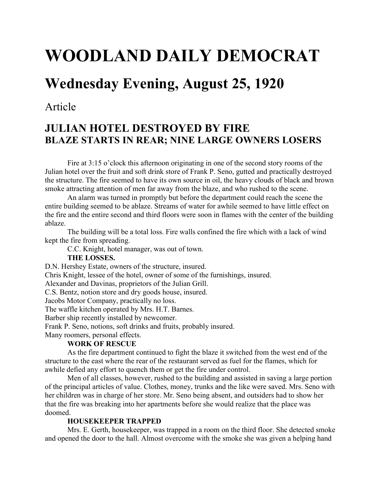# WOODLAND DAILY DEMOCRAT

## Wednesday Evening, August 25, 1920

### Article

## JULIAN HOTEL DESTROYED BY FIRE BLAZE STARTS IN REAR; NINE LARGE OWNERS LOSERS

Fire at 3:15 o'clock this afternoon originating in one of the second story rooms of the Julian hotel over the fruit and soft drink store of Frank P. Seno, gutted and practically destroyed the structure. The fire seemed to have its own source in oil, the heavy clouds of black and brown smoke attracting attention of men far away from the blaze, and who rushed to the scene.

 An alarm was turned in promptly but before the department could reach the scene the entire building seemed to be ablaze. Streams of water for awhile seemed to have little effect on the fire and the entire second and third floors were soon in flames with the center of the building ablaze.

 The building will be a total loss. Fire walls confined the fire which with a lack of wind kept the fire from spreading.

C.C. Knight, hotel manager, was out of town.

#### THE LOSSES.

D.N. Hershey Estate, owners of the structure, insured.

Chris Knight, lessee of the hotel, owner of some of the furnishings, insured.

Alexander and Davinas, proprietors of the Julian Grill.

C.S. Bentz, notion store and dry goods house, insured.

Jacobs Motor Company, practically no loss.

The waffle kitchen operated by Mrs. H.T. Barnes.

Barber ship recently installed by newcomer.

Frank P. Seno, notions, soft drinks and fruits, probably insured.

Many roomers, personal effects.

#### WORK OF RESCUE

 As the fire department continued to fight the blaze it switched from the west end of the structure to the east where the rear of the restaurant served as fuel for the flames, which for awhile defied any effort to quench them or get the fire under control.

 Men of all classes, however, rushed to the building and assisted in saving a large portion of the principal articles of value. Clothes, money, trunks and the like were saved. Mrs. Seno with her children was in charge of her store. Mr. Seno being absent, and outsiders had to show her that the fire was breaking into her apartments before she would realize that the place was doomed.

#### HOUSEKEEPER TRAPPED

 Mrs. E. Gerth, housekeeper, was trapped in a room on the third floor. She detected smoke and opened the door to the hall. Almost overcome with the smoke she was given a helping hand